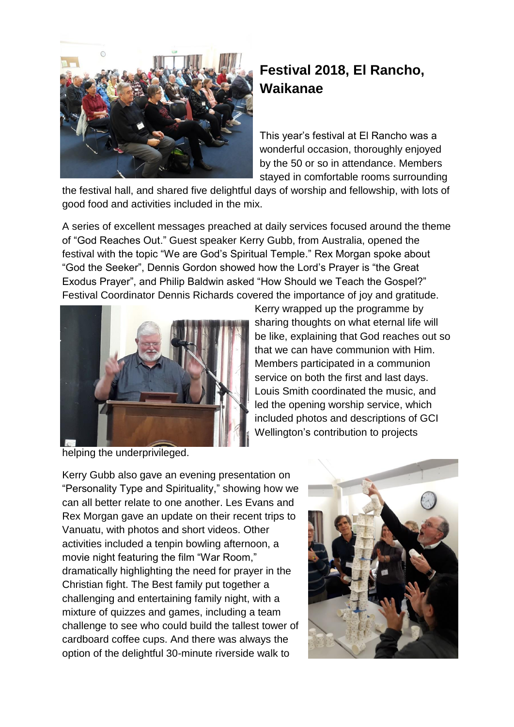

## **Festival 2018, El Rancho, Waikanae**

This year's festival at El Rancho was a wonderful occasion, thoroughly enjoyed by the 50 or so in attendance. Members stayed in comfortable rooms surrounding

the festival hall, and shared five delightful days of worship and fellowship, with lots of good food and activities included in the mix.

A series of excellent messages preached at daily services focused around the theme of "God Reaches Out." Guest speaker Kerry Gubb, from Australia, opened the festival with the topic "We are God's Spiritual Temple." Rex Morgan spoke about "God the Seeker", Dennis Gordon showed how the Lord's Prayer is "the Great Exodus Prayer", and Philip Baldwin asked "How Should we Teach the Gospel?" Festival Coordinator Dennis Richards covered the importance of joy and gratitude.



Kerry wrapped up the programme by sharing thoughts on what eternal life will be like, explaining that God reaches out so that we can have communion with Him. Members participated in a communion service on both the first and last days. Louis Smith coordinated the music, and led the opening worship service, which included photos and descriptions of GCI Wellington's contribution to projects

helping the underprivileged.

Kerry Gubb also gave an evening presentation on "Personality Type and Spirituality," showing how we can all better relate to one another. Les Evans and Rex Morgan gave an update on their recent trips to Vanuatu, with photos and short videos. Other activities included a tenpin bowling afternoon, a movie night featuring the film "War Room," dramatically highlighting the need for prayer in the Christian fight. The Best family put together a challenging and entertaining family night, with a mixture of quizzes and games, including a team challenge to see who could build the tallest tower of cardboard coffee cups. And there was always the option of the delightful 30-minute riverside walk to